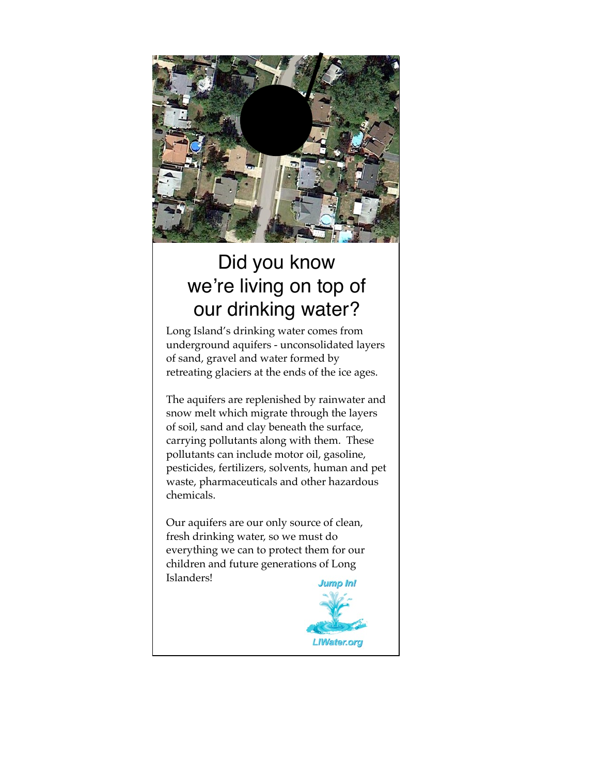

## Did you know we're living on top of our drinking water?

Long Island's drinking water comes from underground aquifers - unconsolidated layers of sand, gravel and water formed by retreating glaciers at the ends of the ice ages.

The aquifers are replenished by rainwater and snow melt which migrate through the layers of soil, sand and clay beneath the surface, carrying pollutants along with them. These pollutants can include motor oil, gasoline, pesticides, fertilizers, solvents, human and pet waste, pharmaceuticals and other hazardous chemicals.

Our aquifers are our only source of clean, fresh drinking water, so we must do everything we can to protect them for our children and future generations of Long Islanders!